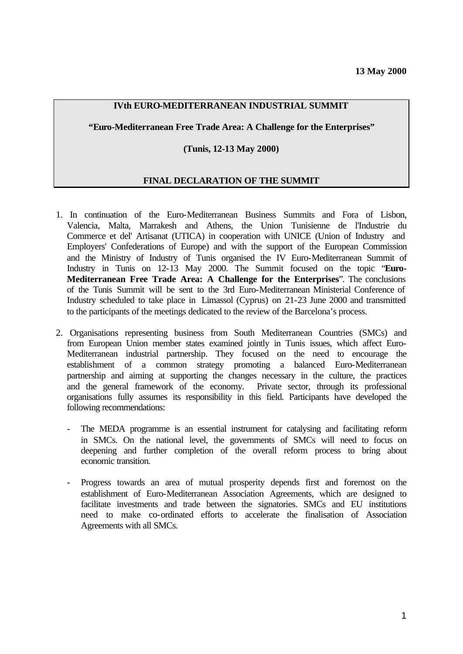## **IVth EURO-MEDITERRANEAN INDUSTRIAL SUMMIT**

**"Euro-Mediterranean Free Trade Area: A Challenge for the Enterprises"**

#### **(Tunis, 12-13 May 2000)**

## **FINAL DECLARATION OF THE SUMMIT**

- 1. In continuation of the Euro-Mediterranean Business Summits and Fora of Lisbon, Valencia, Malta, Marrakesh and Athens, the Union Tunisienne de l'Industrie du Commerce et del' Artisanat (UTICA) in cooperation with UNICE (Union of Industry and Employers' Confederations of Europe) and with the support of the European Commission and the Ministry of Industry of Tunis organised the IV Euro-Mediterranean Summit of Industry in Tunis on 12-13 May 2000. The Summit focused on the topic "**Euro-Mediterranean Free Trade Area: A Challenge for the Enterprises**". The conclusions of the Tunis Summit will be sent to the 3rd Euro-Mediterranean Ministerial Conference of Industry scheduled to take place in Limassol (Cyprus) on 21-23 June 2000 and transmitted to the participants of the meetings dedicated to the review of the Barcelona's process.
- 2. Organisations representing business from South Mediterranean Countries (SMCs) and from European Union member states examined jointly in Tunis issues, which affect Euro-Mediterranean industrial partnership. They focused on the need to encourage the establishment of a common strategy promoting a balanced Euro-Mediterranean partnership and aiming at supporting the changes necessary in the culture, the practices and the general framework of the economy. Private sector, through its professional organisations fully assumes its responsibility in this field. Participants have developed the following recommendations:
	- The MEDA programme is an essential instrument for catalysing and facilitating reform in SMCs. On the national level, the governments of SMCs will need to focus on deepening and further completion of the overall reform process to bring about economic transition.
	- Progress towards an area of mutual prosperity depends first and foremost on the establishment of Euro-Mediterranean Association Agreements, which are designed to facilitate investments and trade between the signatories. SMCs and EU institutions need to make co-ordinated efforts to accelerate the finalisation of Association Agreements with all SMCs.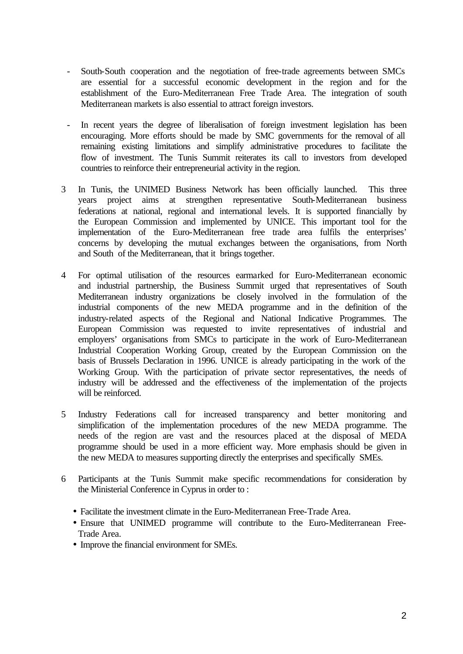- South-South cooperation and the negotiation of free-trade agreements between SMCs are essential for a successful economic development in the region and for the establishment of the Euro-Mediterranean Free Trade Area. The integration of south Mediterranean markets is also essential to attract foreign investors.
- In recent years the degree of liberalisation of foreign investment legislation has been encouraging. More efforts should be made by SMC governments for the removal of all remaining existing limitations and simplify administrative procedures to facilitate the flow of investment. The Tunis Summit reiterates its call to investors from developed countries to reinforce their entrepreneurial activity in the region.
- 3 In Tunis, the UNIMED Business Network has been officially launched. This three years project aims at strengthen representative South-Mediterranean business federations at national, regional and international levels. It is supported financially by the European Commission and implemented by UNICE. This important tool for the implementation of the Euro-Mediterranean free trade area fulfils the enterprises' concerns by developing the mutual exchanges between the organisations, from North and South of the Mediterranean, that it brings together.
- 4 For optimal utilisation of the resources earmarked for Euro-Mediterranean economic and industrial partnership, the Business Summit urged that representatives of South Mediterranean industry organizations be closely involved in the formulation of the industrial components of the new MEDA programme and in the definition of the industry-related aspects of the Regional and National Indicative Programmes. The European Commission was requested to invite representatives of industrial and employers' organisations from SMCs to participate in the work of Euro-Mediterranean Industrial Cooperation Working Group, created by the European Commission on the basis of Brussels Declaration in 1996. UNICE is already participating in the work of the Working Group. With the participation of private sector representatives, the needs of industry will be addressed and the effectiveness of the implementation of the projects will be reinforced.
- 5 Industry Federations call for increased transparency and better monitoring and simplification of the implementation procedures of the new MEDA programme. The needs of the region are vast and the resources placed at the disposal of MEDA programme should be used in a more efficient way. More emphasis should be given in the new MEDA to measures supporting directly the enterprises and specifically SMEs.
- 6 Participants at the Tunis Summit make specific recommendations for consideration by the Ministerial Conference in Cyprus in order to :
	- Facilitate the investment climate in the Euro-Mediterranean Free-Trade Area.
	- Ensure that UNIMED programme will contribute to the Euro-Mediterranean Free-Trade Area.
	- Improve the financial environment for SMEs.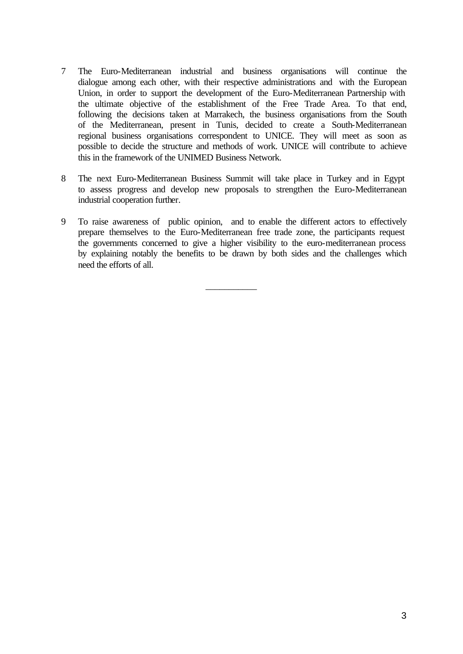- 7 The Euro-Mediterranean industrial and business organisations will continue the dialogue among each other, with their respective administrations and with the European Union, in order to support the development of the Euro-Mediterranean Partnership with the ultimate objective of the establishment of the Free Trade Area. To that end, following the decisions taken at Marrakech, the business organisations from the South of the Mediterranean, present in Tunis, decided to create a South-Mediterranean regional business organisations correspondent to UNICE. They will meet as soon as possible to decide the structure and methods of work. UNICE will contribute to achieve this in the framework of the UNIMED Business Network.
- 8 The next Euro-Mediterranean Business Summit will take place in Turkey and in Egypt to assess progress and develop new proposals to strengthen the Euro-Mediterranean industrial cooperation further.
- 9 To raise awareness of public opinion, and to enable the different actors to effectively prepare themselves to the Euro-Mediterranean free trade zone, the participants request the governments concerned to give a higher visibility to the euro-mediterranean process by explaining notably the benefits to be drawn by both sides and the challenges which need the efforts of all.

 $\overline{\phantom{a}}$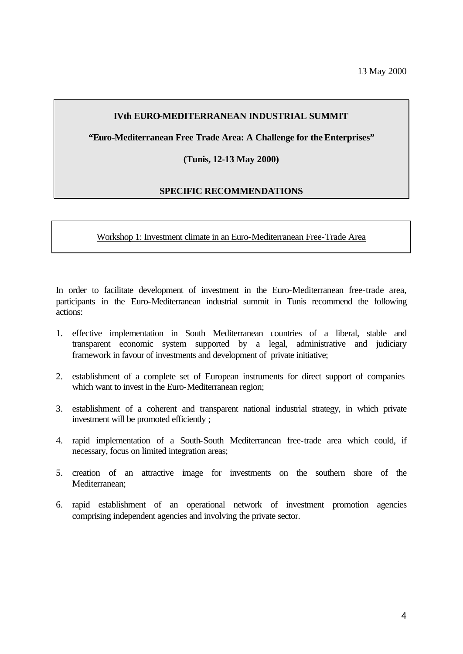## **IVth EURO-MEDITERRANEAN INDUSTRIAL SUMMIT**

**"Euro-Mediterranean Free Trade Area: A Challenge for the Enterprises"**

#### **(Tunis, 12-13 May 2000)**

#### **SPECIFIC RECOMMENDATIONS**

Workshop 1: Investment climate in an Euro-Mediterranean Free-Trade Area

In order to facilitate development of investment in the Euro-Mediterranean free-trade area, participants in the Euro-Mediterranean industrial summit in Tunis recommend the following actions:

- 1. effective implementation in South Mediterranean countries of a liberal, stable and transparent economic system supported by a legal, administrative and judiciary framework in favour of investments and development of private initiative;
- 2. establishment of a complete set of European instruments for direct support of companies which want to invest in the Euro-Mediterranean region;
- 3. establishment of a coherent and transparent national industrial strategy, in which private investment will be promoted efficiently ;
- 4. rapid implementation of a South-South Mediterranean free-trade area which could, if necessary, focus on limited integration areas;
- 5. creation of an attractive image for investments on the southern shore of the Mediterranean;
- 6. rapid establishment of an operational network of investment promotion agencies comprising independent agencies and involving the private sector.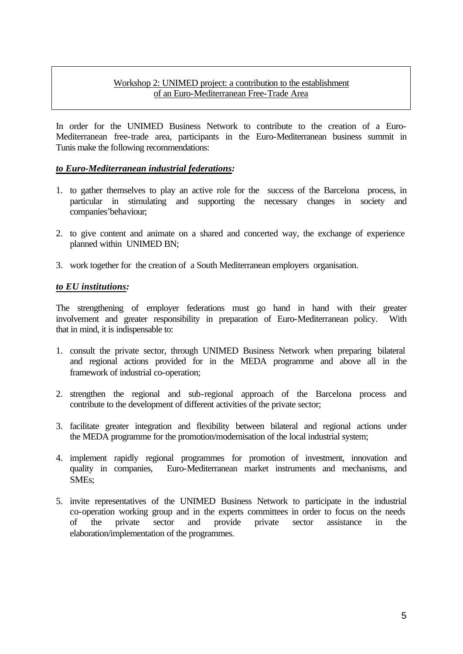## Workshop 2: UNIMED project: a contribution to the establishment of an Euro-Mediterranean Free-Trade Area

In order for the UNIMED Business Network to contribute to the creation of a Euro-Mediterranean free-trade area, participants in the Euro-Mediterranean business summit in Tunis make the following recommendations:

## *to Euro-Mediterranean industrial federations:*

- 1. to gather themselves to play an active role for the success of the Barcelona process, in particular in stimulating and supporting the necessary changes in society and companies'behaviour;
- 2. to give content and animate on a shared and concerted way, the exchange of experience planned within UNIMED BN;
- 3. work together for the creation of a South Mediterranean employers organisation.

#### *to EU institutions:*

The strengthening of employer federations must go hand in hand with their greater involvement and greater responsibility in preparation of Euro-Mediterranean policy. With that in mind, it is indispensable to:

- 1. consult the private sector, through UNIMED Business Network when preparing bilateral and regional actions provided for in the MEDA programme and above all in the framework of industrial co-operation;
- 2. strengthen the regional and sub-regional approach of the Barcelona process and contribute to the development of different activities of the private sector;
- 3. facilitate greater integration and flexibility between bilateral and regional actions under the MEDA programme for the promotion/modernisation of the local industrial system;
- 4. implement rapidly regional programmes for promotion of investment, innovation and quality in companies, Euro-Mediterranean market instruments and mechanisms, and SMEs;
- 5. invite representatives of the UNIMED Business Network to participate in the industrial co-operation working group and in the experts committees in order to focus on the needs of the private sector and provide private sector assistance in the elaboration/implementation of the programmes.